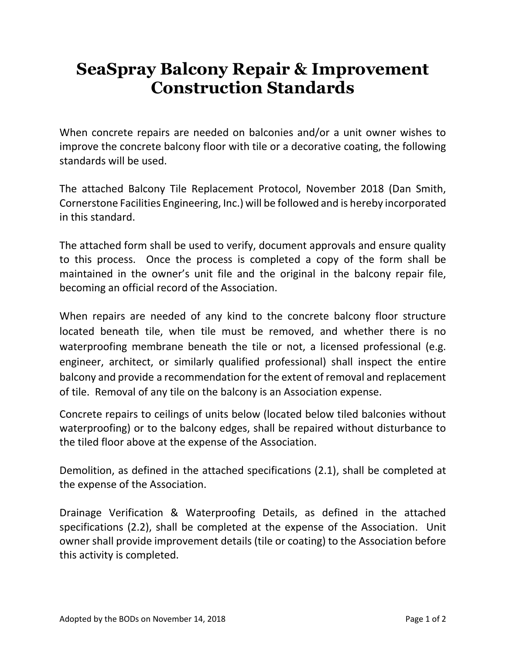## **SeaSpray Balcony Repair & Improvement Construction Standards**

When concrete repairs are needed on balconies and/or a unit owner wishes to improve the concrete balcony floor with tile or a decorative coating, the following standards will be used.

The attached Balcony Tile Replacement Protocol, November 2018 (Dan Smith, Cornerstone Facilities Engineering, Inc.) will be followed and is hereby incorporated in this standard.

The attached form shall be used to verify, document approvals and ensure quality to this process. Once the process is completed a copy of the form shall be maintained in the owner's unit file and the original in the balcony repair file, becoming an official record of the Association.

When repairs are needed of any kind to the concrete balcony floor structure located beneath tile, when tile must be removed, and whether there is no waterproofing membrane beneath the tile or not, a licensed professional (e.g. engineer, architect, or similarly qualified professional) shall inspect the entire balcony and provide a recommendation for the extent of removal and replacement of tile. Removal of any tile on the balcony is an Association expense.

Concrete repairs to ceilings of units below (located below tiled balconies without waterproofing) or to the balcony edges, shall be repaired without disturbance to the tiled floor above at the expense of the Association.

Demolition, as defined in the attached specifications (2.1), shall be completed at the expense of the Association.

Drainage Verification & Waterproofing Details, as defined in the attached specifications (2.2), shall be completed at the expense of the Association. Unit owner shall provide improvement details (tile or coating) to the Association before this activity is completed.